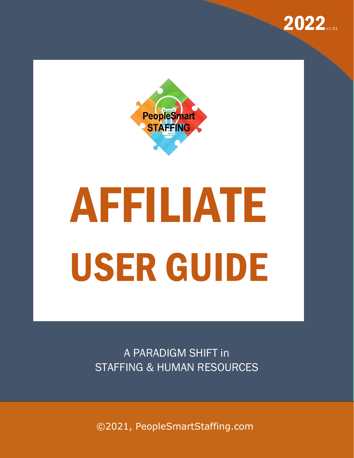



# AFFILIATE USER GUIDE

A PARADIGM SHIFT in STAFFING & HUMAN RESOURCES

©2021, PeopleSmartStaffing.com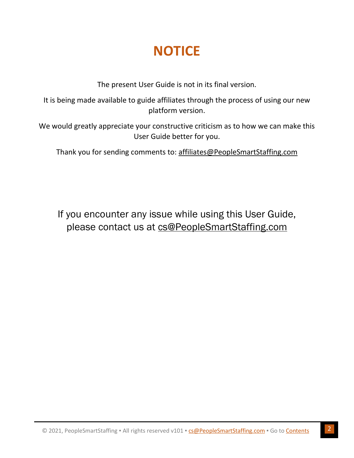# **NOTICE**

The present User Guide is not in its final version.

<span id="page-1-0"></span>It is being made available to guide affiliates through the process of using our new platform version.

We would greatly appreciate your constructive criticism as to how we can make this User Guide better for you.

Thank you for sending comments to: [affiliates@PeopleSmartStaffing.com](mailto:affiliates@PeopleSmartStaffing.com)

If you encounter any issue while using this User Guide, please contact us at [cs@PeopleSmartStaffing.com](mailto:cs@PeopleSmartStaffing.com)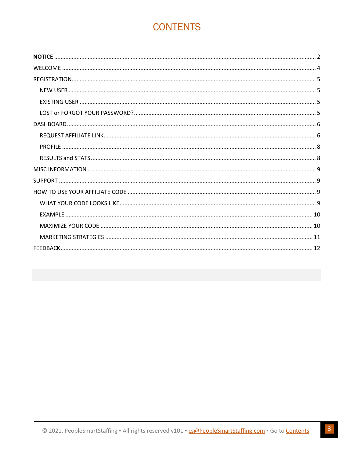# **CONTENTS**

<span id="page-2-0"></span>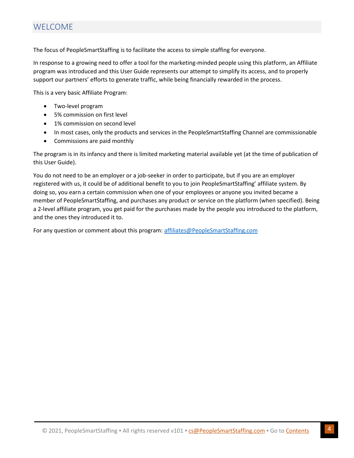<span id="page-3-0"></span>The focus of PeopleSmartStaffing is to facilitate the access to simple staffing for everyone.

In response to a growing need to offer a tool for the marketing-minded people using this platform, an Affiliate program was introduced and this User Guide represents our attempt to simplify its access, and to properly support our partners' efforts to generate traffic, while being financially rewarded in the process.

This is a very basic Affiliate Program:

- Two-level program
- 5% commission on first level
- 1% commission on second level
- In most cases, only the products and services in the PeopleSmartStaffing Channel are commissionable
- Commissions are paid monthly

The program is in its infancy and there is limited marketing material available yet (at the time of publication of this User Guide).

You do not need to be an employer or a job-seeker in order to participate, but if you are an employer registered with us, it could be of additional benefit to you to join PeopleSmartStaffing' affiliate system. By doing so, you earn a certain commission when one of your employees or anyone you invited became a member of PeopleSmartStaffing, and purchases any product or service on the platform (when specified). Being a 2-level affiliate program, you get paid for the purchases made by the people you introduced to the platform, and the ones they introduced it to.

For any question or comment about this program: [affiliates@PeopleSmartStaffing.com](mailto:affiliates@PeopleSmartStaffing.com?subject=About%20PeopleSmartStaffing)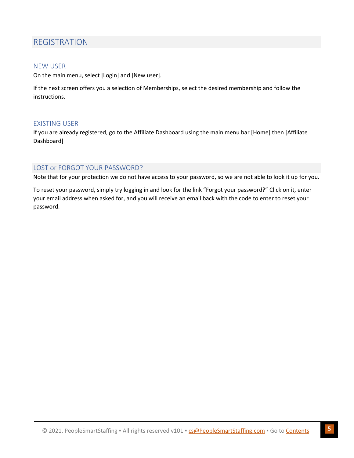# <span id="page-4-0"></span>REGISTRATION

### <span id="page-4-1"></span>NEW USER

On the main menu, select [Login] and [New user].

If the next screen offers you a selection of Memberships, select the desired membership and follow the instructions.

### <span id="page-4-2"></span>EXISTING USER

If you are already registered, go to the Affiliate Dashboard using the main menu bar [Home] then [Affiliate Dashboard]

### <span id="page-4-3"></span>LOST or FORGOT YOUR PASSWORD?

Note that for your protection we do not have access to your password, so we are not able to look it up for you.

To reset your password, simply try logging in and look for the link "Forgot your password?" Click on it, enter your email address when asked for, and you will receive an email back with the code to enter to reset your password.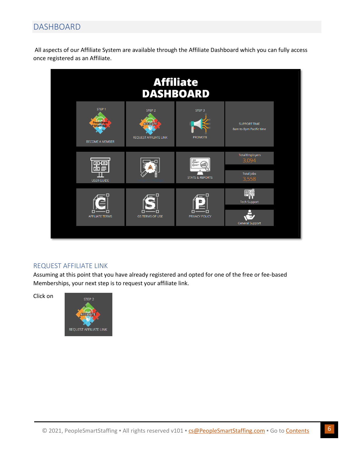# <span id="page-5-0"></span>DASHBOARD

All aspects of our Affiliate System are available through the Affiliate Dashboard which you can fully access once registered as an Affiliate.



### <span id="page-5-1"></span>REQUEST AFFILIATE LINK

Assuming at this point that you have already registered and opted for one of the free or fee-based Memberships, your next step is to request your affiliate link.

Click on

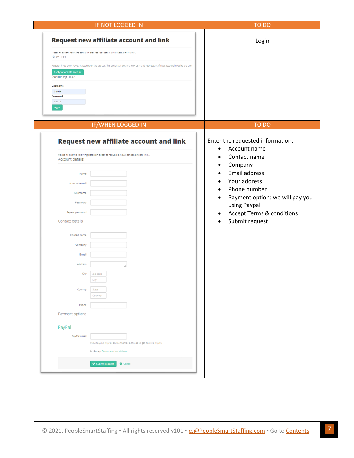| IF NOT LOGGED IN                                                                                                                                                                                                                                                                                                                                       | TO DO                                                                                                                                                                                                                              |
|--------------------------------------------------------------------------------------------------------------------------------------------------------------------------------------------------------------------------------------------------------------------------------------------------------------------------------------------------------|------------------------------------------------------------------------------------------------------------------------------------------------------------------------------------------------------------------------------------|
| <b>Request new affiliate account and link</b><br>Please fill out the following details in order to request a new licensee/affiliate link.<br>New user<br>Register if you don't have an account on the site yet. This option will create a new user and request an affiliate account linked to the use<br>Apply for Affiliate account<br>Returning user | Login                                                                                                                                                                                                                              |
| Username<br>CarolD<br>Password<br><br>Log in                                                                                                                                                                                                                                                                                                           |                                                                                                                                                                                                                                    |
| IF/WHEN LOGGED IN                                                                                                                                                                                                                                                                                                                                      | TO DO                                                                                                                                                                                                                              |
| Request new affiliate account and link<br>Please fill out the following details in order to request a new licensee/affiliate link<br>Account details                                                                                                                                                                                                   | Enter the requested information:<br>Account name<br>$\bullet$<br>Contact name<br>Company<br>$\bullet$                                                                                                                              |
| Name<br>Account e-mail<br>Username<br>Password<br>Repeat password<br>Contact details                                                                                                                                                                                                                                                                   | <b>Email address</b><br>$\bullet$<br>Your address<br>$\bullet$<br>Phone number<br>$\bullet$<br>Payment option: we will pay you<br>$\bullet$<br>using Paypal<br><b>Accept Terms &amp; conditions</b><br>$\bullet$<br>Submit request |
| Contact name<br>Company<br>E-mail                                                                                                                                                                                                                                                                                                                      |                                                                                                                                                                                                                                    |
| Address<br>City<br>Zip code<br>الإمارات                                                                                                                                                                                                                                                                                                                |                                                                                                                                                                                                                                    |
| State<br>Country<br>Country<br>Phone                                                                                                                                                                                                                                                                                                                   |                                                                                                                                                                                                                                    |
| Payment options                                                                                                                                                                                                                                                                                                                                        |                                                                                                                                                                                                                                    |
| PayPal<br>PayPal email<br>Provide your PayPal account email address to get paid via PayPal<br>□ Accept Terms and conditions                                                                                                                                                                                                                            |                                                                                                                                                                                                                                    |
| ◆ Submit request<br><b>O</b> Cancel                                                                                                                                                                                                                                                                                                                    |                                                                                                                                                                                                                                    |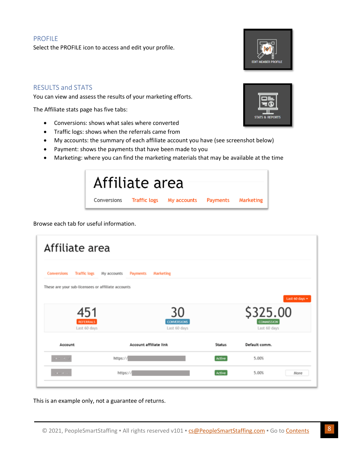### <span id="page-7-0"></span>PROFILE

Select the PROFILE icon to access and edit your profile.

### <span id="page-7-1"></span>RESULTS and STATS

You can view and assess the results of your marketing efforts.

The Affiliate stats page has five tabs:

- Conversions: shows what sales where converted
- Traffic logs: shows when the referrals came from
- My accounts: the summary of each affiliate account you have (see screenshot below)
- Payment: shows the payments that have been made to you
- Marketing: where you can find the marketing materials that may be available at the time

| Affiliate area |                                                         |  |
|----------------|---------------------------------------------------------|--|
|                | Conversions Traffic logs My accounts Payments Marketing |  |

Browse each tab for useful information.

| Affiliate area                                     |                                               |               |                               |                |
|----------------------------------------------------|-----------------------------------------------|---------------|-------------------------------|----------------|
| <b>Conversions</b><br><b>Traffic logs</b>          | My accounts<br>Payments<br>Marketing          |               |                               |                |
| These are your sub-licensees or affiliate accounts |                                               |               |                               | Last 60 days = |
| 451<br><b>REFERRALS</b>                            | 30<br><b>CONVERSIONS</b>                      |               | \$325.00<br><b>COMMISSION</b> |                |
| Last 60 days<br>Account                            | Last 60 days<br><b>Account affiliate link</b> | <b>Status</b> | Last 60 days<br>Default comm. |                |
| $1 - 1 - 1$                                        | https://                                      | Active        | 5.00%                         |                |
| <b>STATISTICS</b>                                  | https://                                      | Active        | 5.00%                         | More           |

This is an example only, not a guarantee of returns.

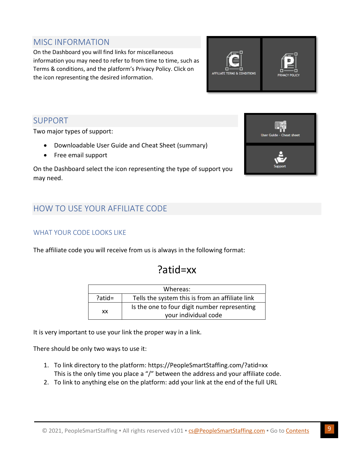# <span id="page-8-0"></span>MISC INFORMATION

On the Dashboard you will find links for miscellaneous information you may need to refer to from time to time, such as Terms & conditions, and the platform's Privacy Policy. Click on the icon representing the desired information.



## <span id="page-8-1"></span>SUPPORT

Two major types of support:

- Downloadable User Guide and Cheat Sheet (summary)
- Free email support

On the Dashboard select the icon representing the type of support you may need.

# <span id="page-8-2"></span>HOW TO USE YOUR AFFILIATE CODE

### <span id="page-8-3"></span>WHAT YOUR CODE LOOKS LIKE

The affiliate code you will receive from us is always in the following format:

# ?atid=xx

|           | Whereas:                                                             |
|-----------|----------------------------------------------------------------------|
| $?atid =$ | Tells the system this is from an affiliate link                      |
| XX        | Is the one to four digit number representing<br>your individual code |

It is very important to use your link the proper way in a link.

There should be only two ways to use it:

- 1. To link directory to the platform: https://PeopleSmartStaffing.com/?atid=xx This is the only time you place a "/" between the address and your affiliate code.
- 2. To link to anything else on the platform: add your link at the end of the full URL

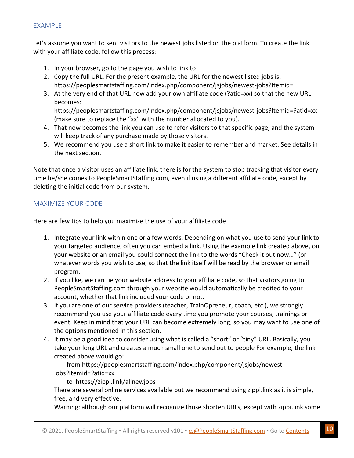### <span id="page-9-0"></span>EXAMPLE

Let's assume you want to sent visitors to the newest jobs listed on the platform. To create the link with your affiliate code, follow this process:

- 1. In your browser, go to the page you wish to link to
- 2. Copy the full URL. For the present example, the URL for the newest listed jobs is: https://peoplesmartstaffing.com/index.php/component/jsjobs/newest-jobs?Itemid=
- 3. At the very end of that URL now add your own affiliate code (?atid=xx) so that the new URL becomes: https://peoplesmartstaffing.com/index.php/component/jsjobs/newest-jobs?Itemid=?atid=xx (make sure to replace the "xx" with the number allocated to you).
- 4. That now becomes the link you can use to refer visitors to that specific page, and the system will keep track of any purchase made by those visitors.
- 5. We recommend you use a short link to make it easier to remember and market. See details in the next section.

Note that once a visitor uses an affiliate link, there is for the system to stop tracking that visitor every time he/she comes to PeopleSmartStaffing.com, even if using a different affiliate code, except by deleting the initial code from our system.

### <span id="page-9-1"></span>MAXIMIZE YOUR CODE

Here are few tips to help you maximize the use of your affiliate code

- 1. Integrate your link within one or a few words. Depending on what you use to send your link to your targeted audience, often you can embed a link. Using the example link created above, on your website or an email you could connect the link to the words "Check it out now…" (or whatever words you wish to use, so that the link itself will be read by the browser or email program.
- 2. If you like, we can tie your website address to your affiliate code, so that visitors going to PeopleSmartStaffing.com through your website would automatically be credited to your account, whether that link included your code or not.
- 3. If you are one of our service providers (teacher, TrainOpreneur, coach, etc.), we strongly recommend you use your affiliate code every time you promote your courses, trainings or event. Keep in mind that your URL can become extremely long, so you may want to use one of the options mentioned in this section.
- 4. It may be a good idea to consider using what is called a "short" or "tiny" URL. Basically, you take your long URL and creates a much small one to send out to people For example, the link created above would go:

 from https://peoplesmartstaffing.com/index.php/component/jsjobs/newestjobs?Itemid=?atid=xx

to https://zippi.link/allnewjobs

There are several online services available but we recommend using zippi.link as it is simple, free, and very effective.

Warning: although our platform will recognize those shorten URLs, except with zippi.link some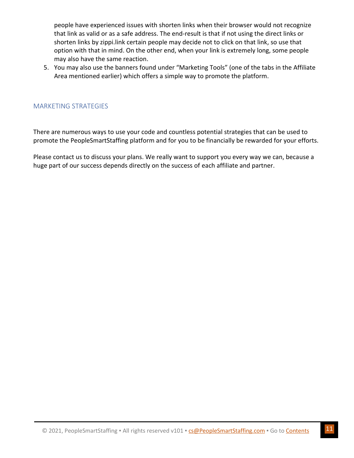people have experienced issues with shorten links when their browser would not recognize that link as valid or as a safe address. The end-result is that if not using the direct links or shorten links by zippi.link certain people may decide not to click on that link, so use that option with that in mind. On the other end, when your link is extremely long, some people may also have the same reaction.

5. You may also use the banners found under "Marketing Tools" (one of the tabs in the Affiliate Area mentioned earlier) which offers a simple way to promote the platform.

### <span id="page-10-0"></span>MARKETING STRATEGIES

There are numerous ways to use your code and countless potential strategies that can be used to promote the PeopleSmartStaffing platform and for you to be financially be rewarded for your efforts.

Please contact us to discuss your plans. We really want to support you every way we can, because a huge part of our success depends directly on the success of each affiliate and partner.